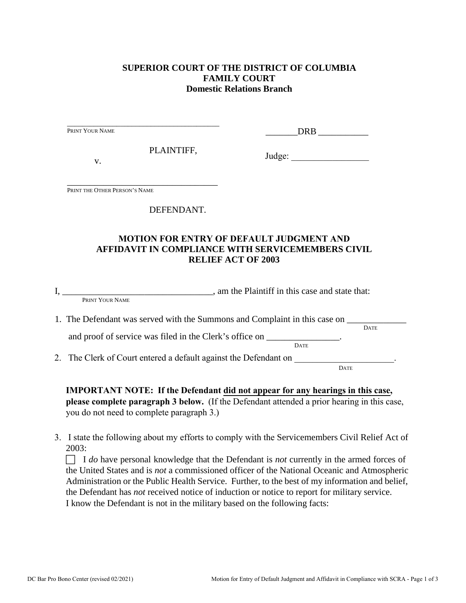# **SUPERIOR COURT OF THE DISTRICT OF COLUMBIA FAMILY COURT Domestic Relations Branch**

|                               |            | DRB                                                                                                                                                                          |
|-------------------------------|------------|------------------------------------------------------------------------------------------------------------------------------------------------------------------------------|
| V.                            | PLAINTIFF, |                                                                                                                                                                              |
| PRINT THE OTHER PERSON'S NAME |            |                                                                                                                                                                              |
|                               | DEFENDANT. |                                                                                                                                                                              |
|                               |            | <b>MOTION FOR ENTRY OF DEFAULT JUDGMENT AND</b>                                                                                                                              |
|                               |            | AFFIDAVIT IN COMPLIANCE WITH SERVICEMEMBERS CIVIL<br><b>RELIEF ACT OF 2003</b>                                                                                               |
|                               |            | I, PRINT YOUR NAME, am the Plaintiff in this case and state that:                                                                                                            |
|                               |            | 1. The Defendant was served with the Summons and Complaint in this case on ______<br><b>DATE</b><br>and proof of service was filed in the Clerk's office on _______________. |
|                               |            |                                                                                                                                                                              |
|                               |            | <b>DATE</b><br>2. The Clerk of Court entered a default against the Defendant on _____________________.                                                                       |

**please complete paragraph 3 below.** (If the Defendant attended a prior hearing in this case, you do not need to complete paragraph 3.)

3. I state the following about my efforts to comply with the Servicemembers Civil Relief Act of 2003:

 I *do* have personal knowledge that the Defendant is *not* currently in the armed forces of the United States and is *not* a commissioned officer of the National Oceanic and Atmospheric Administration or the Public Health Service. Further, to the best of my information and belief, the Defendant has *not* received notice of induction or notice to report for military service. I know the Defendant is not in the military based on the following facts: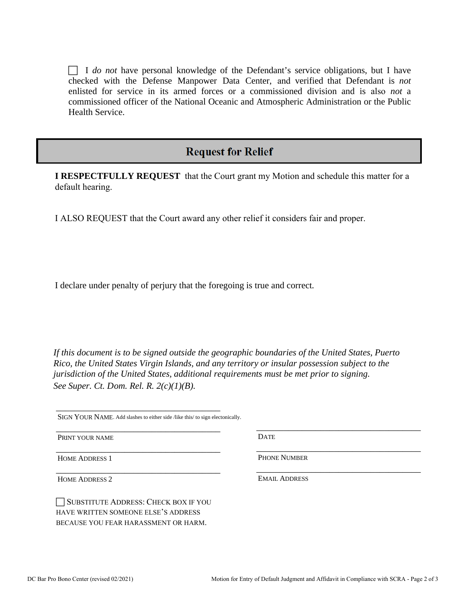I *do not* have personal knowledge of the Defendant's service obligations, but I have checked with the Defense Manpower Data Center, and verified that Defendant is *not* enlisted for service in its armed forces or a commissioned division and is also *not* a commissioned officer of the National Oceanic and Atmospheric Administration or the Public Health Service.

# **Request for Relief**

**I RESPECTFULLY REQUEST** that the Court grant my Motion and schedule this matter for a default hearing.

I ALSO REQUEST that the Court award any other relief it considers fair and proper.

I declare under penalty of perjury that the foregoing is true and correct*.* 

*If this document is to be signed outside the geographic boundaries of the United States, Puerto Rico, the United States Virgin Islands, and any territory or insular possession subject to the jurisdiction of the United States, additional requirements must be met prior to signing. See Super. Ct. Dom. Rel. R. 2(c)(1)(B).* 

SIGN YOUR NAME. Add slashes to either side /like this/ to sign electonically.

\_\_\_\_\_\_\_\_\_\_\_\_\_\_\_\_\_\_\_\_\_\_\_\_\_\_\_\_\_\_\_\_\_\_\_\_

\_\_\_\_\_\_\_\_\_\_\_\_\_\_\_\_\_\_\_\_\_\_\_\_\_\_\_\_\_\_\_\_\_\_\_\_

\_\_\_\_\_\_\_\_\_\_\_\_\_\_\_\_\_\_\_\_\_\_\_\_\_\_\_\_\_\_\_\_\_\_\_\_

\_\_\_\_\_\_\_\_\_\_\_\_\_\_\_\_\_\_\_\_\_\_\_\_\_\_\_\_\_\_\_\_\_\_\_\_

PRINT YOUR NAME

HOME ADDRESS 1

HOME ADDRESS 2

SUBSTITUTE ADDRESS: CHECK BOX IF YOU HAVE WRITTEN SOMEONE ELSE'S ADDRESS BECAUSE YOU FEAR HARASSMENT OR HARM.

**DATE** 

PHONE NUMBER

EMAIL ADDRESS

\_\_\_\_\_\_\_\_\_\_\_\_\_\_\_\_\_\_\_\_\_\_\_\_\_\_\_\_\_\_\_\_\_\_\_\_

\_\_\_\_\_\_\_\_\_\_\_\_\_\_\_\_\_\_\_\_\_\_\_\_\_\_\_\_\_\_\_\_\_\_\_\_

\_\_\_\_\_\_\_\_\_\_\_\_\_\_\_\_\_\_\_\_\_\_\_\_\_\_\_\_\_\_\_\_\_\_\_\_